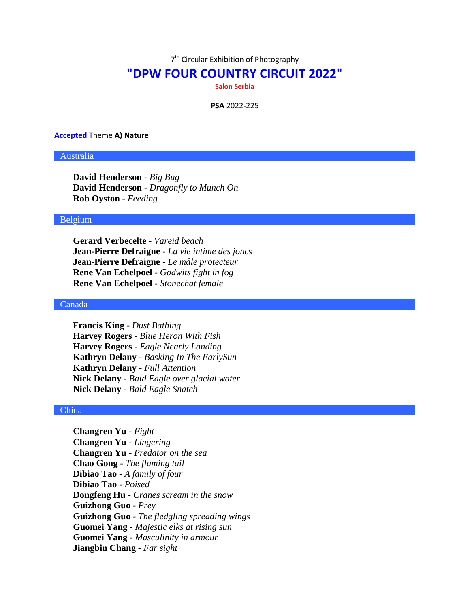7<sup>th</sup> Circular Exhibition of Photography

# **"DPW FOUR COUNTRY CIRCUIT 2022"**

**Salon Serbia**

**PSA** 2022-225

#### **Accepted** Theme **A) Nature**

## Australia

**David Henderson** - *Big Bug* **David Henderson** - *Dragonfly to Munch On* **Rob Oyston** - *Feeding*

## Belgium

**Gerard Verbecelte** - *Vareid beach* **Jean-Pierre Defraigne** - *La vie intime des joncs* **Jean-Pierre Defraigne** - *Le mâle protecteur* **Rene Van Echelpoel** - *Godwits fight in fog* **Rene Van Echelpoel** - *Stonechat female*

## Canada

**Francis King** - *Dust Bathing* **Harvey Rogers** - *Blue Heron With Fish* **Harvey Rogers** - *Eagle Nearly Landing* **Kathryn Delany** - *Basking In The EarlySun* **Kathryn Delany** - *Full Attention* **Nick Delany** - *Bald Eagle over glacial water* **Nick Delany** - *Bald Eagle Snatch*

#### China

**Changren Yu** - *Fight* **Changren Yu** - *Lingering* **Changren Yu** - *Predator on the sea* **Chao Gong** - *The flaming tail* **Dibiao Tao** - *A family of four* **Dibiao Tao** - *Poised* **Dongfeng Hu** - *Cranes scream in the snow* **Guizhong Guo** - *Prey* **Guizhong Guo** - *The fledgling spreading wings* **Guomei Yang** - *Majestic elks at rising sun* **Guomei Yang** - *Masculinity in armour* **Jiangbin Chang** - *Far sight*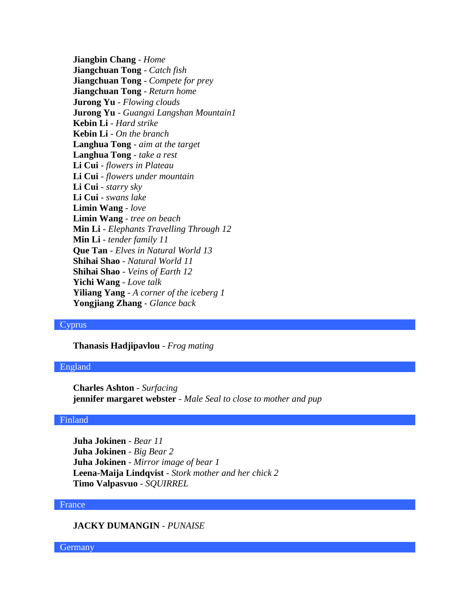**Jiangbin Chang** - *Home* **Jiangchuan Tong** - *Catch fish* **Jiangchuan Tong** - *Compete for prey* **Jiangchuan Tong** - *Return home* **Jurong Yu** - *Flowing clouds* **Jurong Yu** - *Guangxi Langshan Mountain1* **Kebin Li** - *Hard strike* **Kebin Li** - *On the branch* **Langhua Tong** - *aim at the target* **Langhua Tong** - *take a rest* **Li Cui** - *flowers in Plateau* **Li Cui** - *flowers under mountain* **Li Cui** - *starry sky* **Li Cui** - *swans lake* **Limin Wang** - *love* **Limin Wang** - *tree on beach* **Min Li** - *Elephants Travelling Through 12* **Min Li** - *tender family 11* **Que Tan** - *Elves in Natural World 13* **Shihai Shao** - *Natural World 11* **Shihai Shao** - *Veins of Earth 12* **Yichi Wang** - *Love talk* **Yiliang Yang** - *A corner of the iceberg 1* **Yongjiang Zhang** - *Glance back*

# Cyprus

**Thanasis Hadjipavlou** - *Frog mating*

## England

**Charles Ashton** - *Surfacing* **jennifer margaret webster** - *Male Seal to close to mother and pup*

# Finland

**Juha Jokinen** - *Bear 11* **Juha Jokinen** - *Big Bear 2* **Juha Jokinen** - *Mirror image of bear 1* **Leena-Maija Lindqvist** - *Stork mother and her chick 2* **Timo Valpasvuo** - *SQUIRREL*

#### France

**JACKY DUMANGIN** - *PUNAISE*

Germany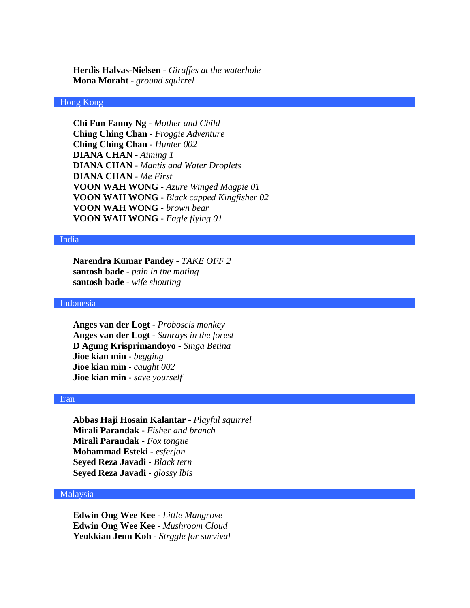**Herdis Halvas-Nielsen** - *Giraffes at the waterhole* **Mona Moraht** - *ground squirrel*

# Hong Kong

**Chi Fun Fanny Ng** - *Mother and Child* **Ching Ching Chan** - *Froggie Adventure* **Ching Ching Chan** - *Hunter 002* **DIANA CHAN** - *Aiming 1* **DIANA CHAN** - *Mantis and Water Droplets* **DIANA CHAN** - *Me First* **VOON WAH WONG** - *Azure Winged Magpie 01* **VOON WAH WONG** - *Black capped Kingfisher 02* **VOON WAH WONG** - *brown bear* **VOON WAH WONG** - *Eagle flying 01*

## India

**Narendra Kumar Pandey** - *TAKE OFF 2* **santosh bade** - *pain in the mating* **santosh bade** - *wife shouting*

# Indonesia

**Anges van der Logt** - *Proboscis monkey* **Anges van der Logt** - *Sunrays in the forest* **D Agung Krisprimandoyo** - *Singa Betina* **Jioe kian min** - *begging* **Jioe kian min** - *caught 002* **Jioe kian min** - *save yourself*

#### Iran

**Abbas Haji Hosain Kalantar** - *Playful squirrel* **Mirali Parandak** - *Fisher and branch* **Mirali Parandak** - *Fox tongue* **Mohammad Esteki** - *esferjan* **Seyed Reza Javadi** - *Black tern* **Seyed Reza Javadi** - *glossy lbis*

# Malaysia

**Edwin Ong Wee Kee** - *Little Mangrove* **Edwin Ong Wee Kee** - *Mushroom Cloud* **Yeokkian Jenn Koh** - *Strggle for survival*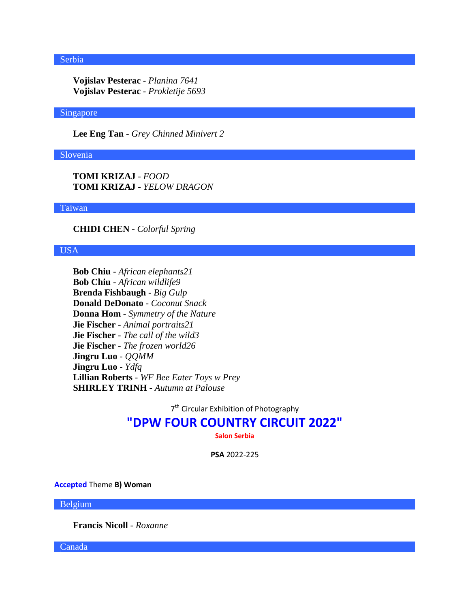# Serbia

**Vojislav Pesterac** - *Planina 7641* **Vojislav Pesterac** - *Prokletije 5693*

## Singapore

**Lee Eng Tan** - *Grey Chinned Minivert 2*

### Slovenia

**TOMI KRIZAJ** - *FOOD* **TOMI KRIZAJ** - *YELOW DRAGON*

## Taiwan

**CHIDI CHEN** - *Colorful Spring*

# USA

**Bob Chiu** - *African elephants21* **Bob Chiu** - *African wildlife9* **Brenda Fishbaugh** - *Big Gulp* **Donald DeDonato** - *Coconut Snack* **Donna Hom** - *Symmetry of the Nature* **Jie Fischer** - *Animal portraits21* **Jie Fischer** - *The call of the wild3* **Jie Fischer** - *The frozen world26* **Jingru Luo** - *QQMM* **Jingru Luo** - *Ydfq* **Lillian Roberts** - *WF Bee Eater Toys w Prey* **SHIRLEY TRINH** - *Autumn at Palouse*

7<sup>th</sup> Circular Exhibition of Photography

# **"DPW FOUR COUNTRY CIRCUIT 2022"**

**Salon Serbia**

**PSA** 2022-225

**Accepted** Theme **B) Woman**

Belgium

**Francis Nicoll** - *Roxanne*

Canada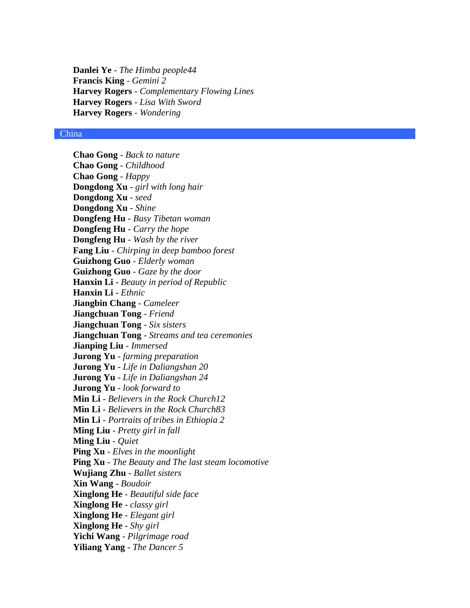**Danlei Ye** - *The Himba people44* **Francis King** - *Gemini 2* **Harvey Rogers** - *Complementary Flowing Lines* **Harvey Rogers** - *Lisa With Sword* **Harvey Rogers** - *Wondering*

## China

**Chao Gong** - *Back to nature* **Chao Gong** - *Childhood* **Chao Gong** - *Happy* **Dongdong Xu** - *girl with long hair* **Dongdong Xu** - *seed* **Dongdong Xu** - *Shine* **Dongfeng Hu** - *Busy Tibetan woman* **Dongfeng Hu** - *Carry the hope* **Dongfeng Hu** - *Wash by the river* **Fang Liu** - *Chirping in deep bamboo forest* **Guizhong Guo** - *Elderly woman* **Guizhong Guo** - *Gaze by the door* **Hanxin Li** - *Beauty in period of Republic* **Hanxin Li** - *Ethnic* **Jiangbin Chang** - *Cameleer* **Jiangchuan Tong** - *Friend* **Jiangchuan Tong** - *Six sisters* **Jiangchuan Tong** - *Streams and tea ceremonies* **Jianping Liu** - *Immersed* **Jurong Yu** - *farming preparation* **Jurong Yu** - *Life in Daliangshan 20* **Jurong Yu** - *Life in Daliangshan 24* **Jurong Yu** - *look forward to* **Min Li** - *Believers in the Rock Church12* **Min Li** - *Believers in the Rock Church83* **Min Li** - *Portraits of tribes in Ethiopia 2* **Ming Liu** - *Pretty girl in fall* **Ming Liu** - *Quiet* **Ping Xu** - *Elves in the moonlight* **Ping Xu** - *The Beauty and The last steam locomotive* **Wujiang Zhu** - *Ballet sisters* **Xin Wang** - *Boudoir* **Xinglong He** - *Beautiful side face* **Xinglong He** - *classy girl* **Xinglong He** - *Elegant girl* **Xinglong He** - *Shy girl* **Yichi Wang** - *Pilgrimage road* **Yiliang Yang** - *The Dancer 5*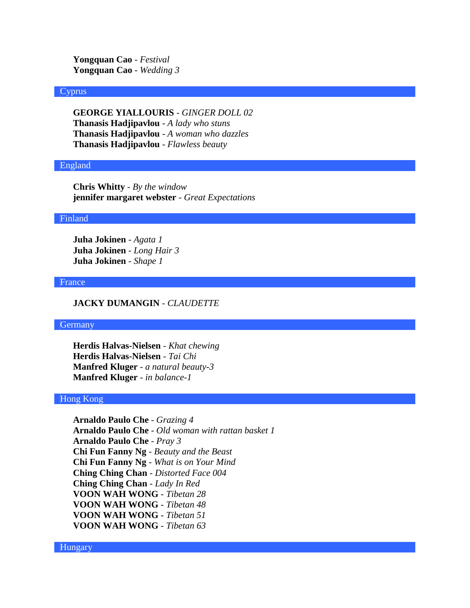**Yongquan Cao** - *Festival* **Yongquan Cao** - *Wedding 3*

#### **Cyprus**

**GEORGE YIALLOURIS** - *GINGER DOLL 02* **Thanasis Hadjipavlou** - *A lady who stuns* **Thanasis Hadjipavlou** - *A woman who dazzles* **Thanasis Hadjipavlou** - *Flawless beauty*

# England

**Chris Whitty** - *By the window* **jennifer margaret webster** - *Great Expectations*

#### Finland

**Juha Jokinen** - *Agata 1* **Juha Jokinen** - *Long Hair 3* **Juha Jokinen** - *Shape 1*

#### France

# **JACKY DUMANGIN** - *CLAUDETTE*

#### **Germany**

**Herdis Halvas-Nielsen** - *Khat chewing* **Herdis Halvas-Nielsen** - *Tai Chi* **Manfred Kluger** - *a natural beauty-3* **Manfred Kluger** - *in balance-1*

# Hong Kong

**Arnaldo Paulo Che** - *Grazing 4* **Arnaldo Paulo Che** - *Old woman with rattan basket 1* **Arnaldo Paulo Che** - *Pray 3* **Chi Fun Fanny Ng** - *Beauty and the Beast* **Chi Fun Fanny Ng** - *What is on Your Mind* **Ching Ching Chan** - *Distorted Face 004* **Ching Ching Chan** - *Lady In Red* **VOON WAH WONG** - *Tibetan 28* **VOON WAH WONG** - *Tibetan 48* **VOON WAH WONG** - *Tibetan 51* **VOON WAH WONG** - *Tibetan 63*

#### Hungary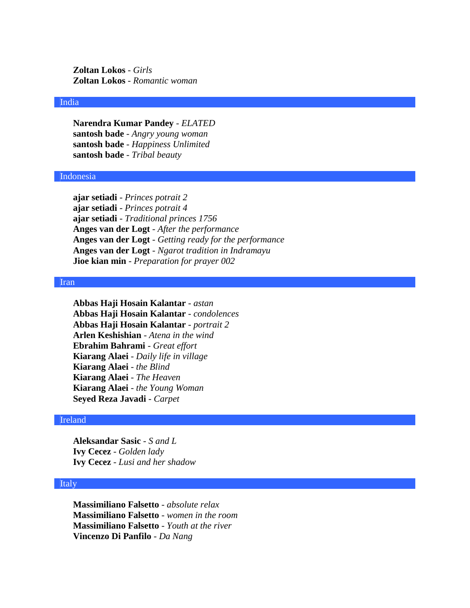**Zoltan Lokos** - *Girls* **Zoltan Lokos** - *Romantic woman*

## India

**Narendra Kumar Pandey** - *ELATED* **santosh bade** - *Angry young woman* **santosh bade** - *Happiness Unlimited* **santosh bade** - *Tribal beauty*

#### Indonesia

**ajar setiadi** - *Princes potrait 2* **ajar setiadi** - *Princes potrait 4* **ajar setiadi** - *Traditional princes 1756* **Anges van der Logt** - *After the performance* **Anges van der Logt** - *Getting ready for the performance* **Anges van der Logt** - *Ngarot tradition in Indramayu* **Jioe kian min** - *Preparation for prayer 002*

#### Iran

**Abbas Haji Hosain Kalantar** - *astan* **Abbas Haji Hosain Kalantar** - *condolences* **Abbas Haji Hosain Kalantar** - *portrait 2* **Arlen Keshishian** - *Atena in the wind* **Ebrahim Bahrami** - *Great effort* **Kiarang Alaei** - *Daily life in village* **Kiarang Alaei** - *the Blind* **Kiarang Alaei** - *The Heaven* **Kiarang Alaei** - *the Young Woman* **Seyed Reza Javadi** - *Carpet*

# Ireland

**Aleksandar Sasic** - *S and L* **Ivy Cecez** - *Golden lady* **Ivy Cecez** - *Lusi and her shadow*

## Italy

**Massimiliano Falsetto** - *absolute relax* **Massimiliano Falsetto** - *women in the room* **Massimiliano Falsetto** - *Youth at the river* **Vincenzo Di Panfilo** - *Da Nang*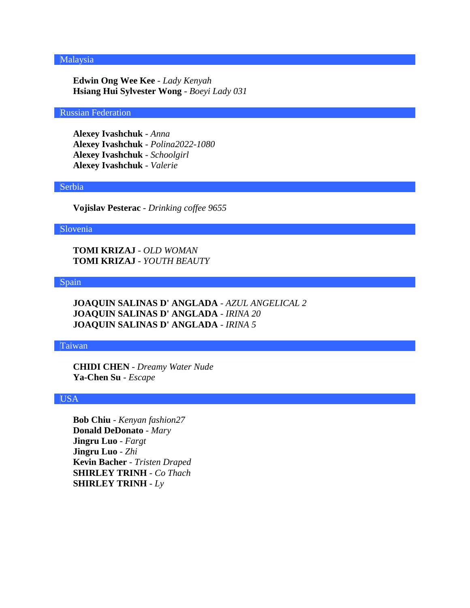# Malaysia

**Edwin Ong Wee Kee** - *Lady Kenyah* **Hsiang Hui Sylvester Wong** - *Boeyi Lady 031*

## Russian Federation

**Alexey Ivashchuk** - *Anna* **Alexey Ivashchuk** - *Polina2022-1080* **Alexey Ivashchuk** - *Schoolgirl* **Alexey Ivashchuk** - *Valerie*

#### Serbia

**Vojislav Pesterac** - *Drinking coffee 9655*

#### Slovenia

**TOMI KRIZAJ** - *OLD WOMAN* **TOMI KRIZAJ** - *YOUTH BEAUTY*

#### Spain

**JOAQUIN SALINAS D' ANGLADA** - *AZUL ANGELICAL 2* **JOAQUIN SALINAS D' ANGLADA** - *IRINA 20* **JOAQUIN SALINAS D' ANGLADA** - *IRINA 5*

#### Taiwan

**CHIDI CHEN** - *Dreamy Water Nude* **Ya-Chen Su** - *Escape*

# USA

**Bob Chiu** - *Kenyan fashion27* **Donald DeDonato** - *Mary* **Jingru Luo** - *Fargt* **Jingru Luo** - *Zhi* **Kevin Bacher** - *Tristen Draped* **SHIRLEY TRINH** - *Co Thach* **SHIRLEY TRINH** - *Ly*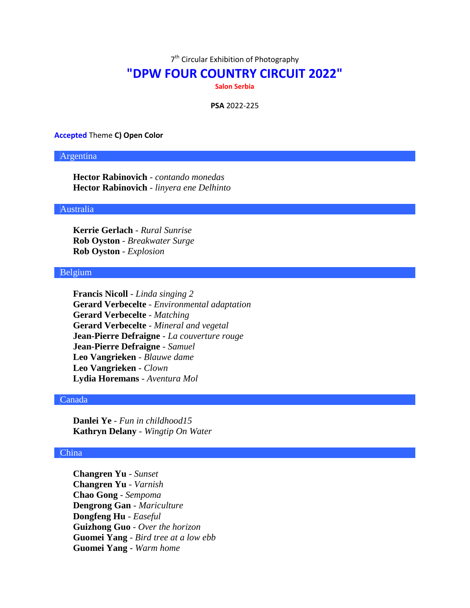7<sup>th</sup> Circular Exhibition of Photography

# **"DPW FOUR COUNTRY CIRCUIT 2022"**

**Salon Serbia**

**PSA** 2022-225

### **Accepted** Theme **C) Open Color**

# Argentina

**Hector Rabinovich** - *contando monedas* **Hector Rabinovich** - *linyera ene Delhinto*

# Australia

**Kerrie Gerlach** - *Rural Sunrise* **Rob Oyston** - *Breakwater Surge* **Rob Oyston** - *Explosion*

## Belgium

**Francis Nicoll** - *Linda singing 2* **Gerard Verbecelte** - *Environmental adaptation* **Gerard Verbecelte** - *Matching* **Gerard Verbecelte** - *Mineral and vegetal* **Jean-Pierre Defraigne** - *La couverture rouge* **Jean-Pierre Defraigne** - *Samuel* **Leo Vangrieken** - *Blauwe dame* **Leo Vangrieken** - *Clown* **Lydia Horemans** - *Aventura Mol*

# Canada

**Danlei Ye** - *Fun in childhood15* **Kathryn Delany** - *Wingtip On Water*

## China

**Changren Yu** - *Sunset* **Changren Yu** - *Varnish* **Chao Gong** - *Sempoma* **Dengrong Gan** - *Mariculture* **Dongfeng Hu** - *Easeful* **Guizhong Guo** - *Over the horizon* **Guomei Yang** - *Bird tree at a low ebb* **Guomei Yang** - *Warm home*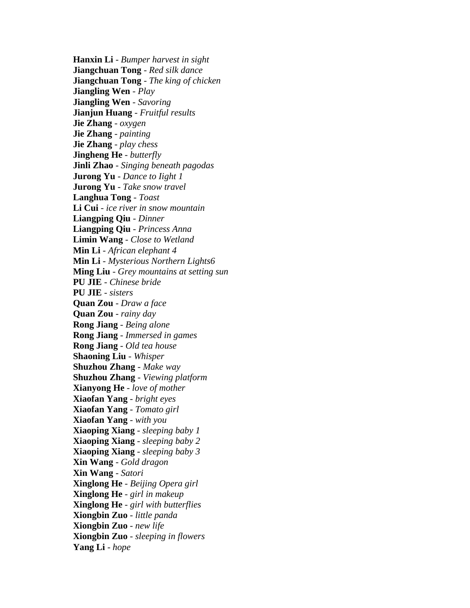**Hanxin Li** - *Bumper harvest in sight* **Jiangchuan Tong** - *Red silk dance* **Jiangchuan Tong** - *The king of chicken* **Jiangling Wen** - *Play* **Jiangling Wen** - *Savoring* **Jianjun Huang** - *Fruitful results* **Jie Zhang** - *oxygen* **Jie Zhang** - *painting* **Jie Zhang** - *play chess* **Jingheng He** - *butterfly* **Jinli Zhao** - *Singing beneath pagodas* **Jurong Yu** - *Dance to Iight 1* **Jurong Yu** - *Take snow travel* **Langhua Tong** - *Toast* **Li Cui** - *ice river in snow mountain* **Liangping Qiu** - *Dinner* **Liangping Qiu** - *Princess Anna* **Limin Wang** - *Close to Wetland* **Min Li** - *African elephant 4* **Min Li** - *Mysterious Northern Lights6* **Ming Liu** - *Grey mountains at setting sun* **PU JIE** - *Chinese bride* **PU JIE** - *sisters* **Quan Zou** - *Draw a face* **Quan Zou** - *rainy day* **Rong Jiang** - *Being alone* **Rong Jiang** - *Immersed in games* **Rong Jiang** - *Old tea house* **Shaoning Liu** - *Whisper* **Shuzhou Zhang** - *Make way* **Shuzhou Zhang** - *Viewing platform* **Xianyong He** - *love of mother* **Xiaofan Yang** - *bright eyes* **Xiaofan Yang** - *Tomato girl* **Xiaofan Yang** - *with you* **Xiaoping Xiang** - *sleeping baby 1* **Xiaoping Xiang** - *sleeping baby 2* **Xiaoping Xiang** - *sleeping baby 3* **Xin Wang** - *Gold dragon* **Xin Wang** - *Satori* **Xinglong He** - *Beijing Opera girl* **Xinglong He** - *girl in makeup* **Xinglong He** - *girl with butterflies* **Xiongbin Zuo** - *little panda* **Xiongbin Zuo** - *new life* **Xiongbin Zuo** - *sleeping in flowers* **Yang Li** - *hope*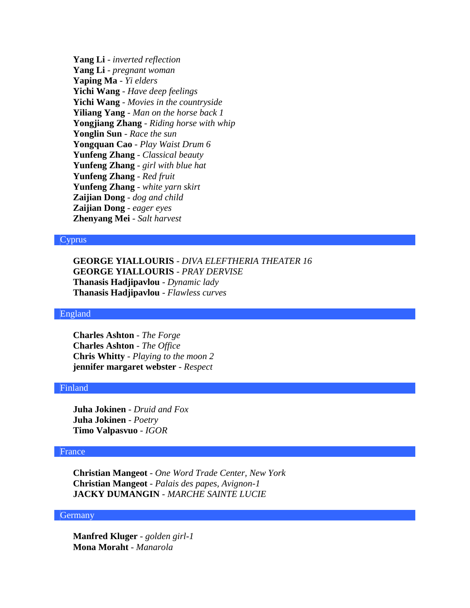**Yang Li** - *inverted reflection* **Yang Li** - *pregnant woman* **Yaping Ma** - *Yi elders* **Yichi Wang** - *Have deep feelings* **Yichi Wang** - *Movies in the countryside* **Yiliang Yang** - *Man on the horse back 1* **Yongjiang Zhang** - *Riding horse with whip* **Yonglin Sun** - *Race the sun* **Yongquan Cao** - *Play Waist Drum 6* **Yunfeng Zhang** - *Classical beauty* **Yunfeng Zhang** - *girl with blue hat* **Yunfeng Zhang** - *Red fruit* **Yunfeng Zhang** - *white yarn skirt* **Zaijian Dong** - *dog and child* **Zaijian Dong** - *eager eyes* **Zhenyang Mei** - *Salt harvest*

## Cyprus

**GEORGE YIALLOURIS** - *DIVA ELEFTHERIA THEATER 16* **GEORGE YIALLOURIS** - *PRAY DERVISE* **Thanasis Hadjipavlou** - *Dynamic lady* **Thanasis Hadjipavlou** - *Flawless curves*

#### England

**Charles Ashton** - *The Forge* **Charles Ashton** - *The Office* **Chris Whitty** - *Playing to the moon 2* **jennifer margaret webster** - *Respect*

## Finland

**Juha Jokinen** - *Druid and Fox* **Juha Jokinen** - *Poetry* **Timo Valpasvuo** - *IGOR*

#### France

**Christian Mangeot** - *One Word Trade Center, New York* **Christian Mangeot** - *Palais des papes, Avignon-1* **JACKY DUMANGIN** - *MARCHE SAINTE LUCIE*

# **Germany**

**Manfred Kluger** - *golden girl-1* **Mona Moraht** - *Manarola*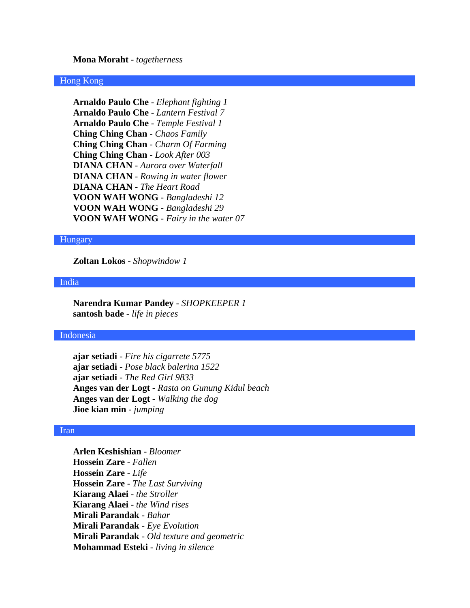#### **Mona Moraht** - *togetherness*

## Hong Kong

**Arnaldo Paulo Che** - *Elephant fighting 1* **Arnaldo Paulo Che** - *Lantern Festival 7* **Arnaldo Paulo Che** - *Temple Festival 1* **Ching Ching Chan** - *Chaos Family* **Ching Ching Chan** - *Charm Of Farming* **Ching Ching Chan** - *Look After 003* **DIANA CHAN** - *Aurora over Waterfall* **DIANA CHAN** - *Rowing in water flower* **DIANA CHAN** - *The Heart Road* **VOON WAH WONG** - *Bangladeshi 12* **VOON WAH WONG** - *Bangladeshi 29* **VOON WAH WONG** - *Fairy in the water 07*

## Hungary

**Zoltan Lokos** - *Shopwindow 1*

#### India

**Narendra Kumar Pandey** - *SHOPKEEPER 1* **santosh bade** - *life in pieces*

## Indonesia

**ajar setiadi** - *Fire his cigarrete 5775* **ajar setiadi** - *Pose black balerina 1522* **ajar setiadi** - *The Red Girl 9833* **Anges van der Logt** - *Rasta on Gunung Kidul beach* **Anges van der Logt** - *Walking the dog* **Jioe kian min** - *jumping*

#### Iran

**Arlen Keshishian** - *Bloomer* **Hossein Zare** - *Fallen* **Hossein Zare** - *Life* **Hossein Zare** - *The Last Surviving* **Kiarang Alaei** - *the Stroller* **Kiarang Alaei** - *the Wind rises* **Mirali Parandak** - *Bahar* **Mirali Parandak** - *Eye Evolution* **Mirali Parandak** - *Old texture and geometric* **Mohammad Esteki** - *living in silence*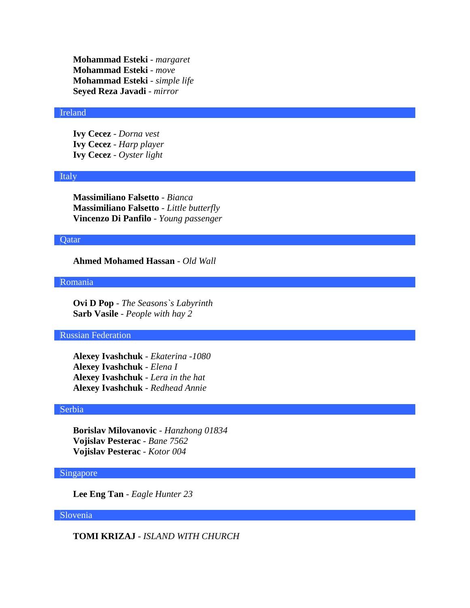**Mohammad Esteki** - *margaret* **Mohammad Esteki** - *move* **Mohammad Esteki** - *simple life* **Seyed Reza Javadi** - *mirror*

#### Ireland

**Ivy Cecez** - *Dorna vest* **Ivy Cecez** - *Harp player* **Ivy Cecez** - *Oyster light*

#### Italy

**Massimiliano Falsetto** - *Bianca* **Massimiliano Falsetto** - *Little butterfly* **Vincenzo Di Panfilo** - *Young passenger*

## Qatar

**Ahmed Mohamed Hassan** - *Old Wall*

#### Romania

**Ovi D Pop** - *The Seasons`s Labyrinth* **Sarb Vasile** - *People with hay 2*

## Russian Federation

**Alexey Ivashchuk** - *Ekaterina -1080* **Alexey Ivashchuk** - *Elena I* **Alexey Ivashchuk** - *Lera in the hat* **Alexey Ivashchuk** - *Redhead Annie*

## Serbia

**Borislav Milovanovic** - *Hanzhong 01834* **Vojislav Pesterac** - *Bane 7562* **Vojislav Pesterac** - *Kotor 004*

# Singapore

**Lee Eng Tan** - *Eagle Hunter 23*

## Slovenia

**TOMI KRIZAJ** - *ISLAND WITH CHURCH*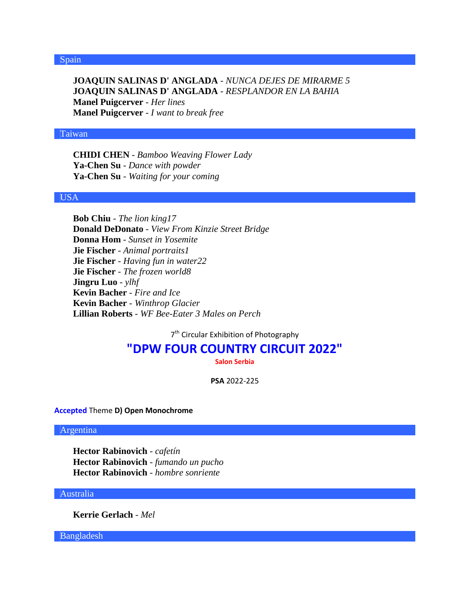**JOAQUIN SALINAS D' ANGLADA** - *NUNCA DEJES DE MIRARME 5* **JOAQUIN SALINAS D' ANGLADA** - *RESPLANDOR EN LA BAHIA* **Manel Puigcerver** - *Her lines* **Manel Puigcerver** - *I want to break free*

# Taiwan

**CHIDI CHEN** - *Bamboo Weaving Flower Lady* **Ya-Chen Su** - *Dance with powder* **Ya-Chen Su** - *Waiting for your coming*

#### USA

**Bob Chiu** - *The lion king17* **Donald DeDonato** - *View From Kinzie Street Bridge* **Donna Hom** - *Sunset in Yosemite* **Jie Fischer** - *Animal portraits1* **Jie Fischer** - *Having fun in water22* **Jie Fischer** - *The frozen world8* **Jingru Luo** - *ylhf* **Kevin Bacher** - *Fire and Ice* **Kevin Bacher** - *Winthrop Glacier* **Lillian Roberts** - *WF Bee-Eater 3 Males on Perch*

7<sup>th</sup> Circular Exhibition of Photography

# **"DPW FOUR COUNTRY CIRCUIT 2022"**

**Salon Serbia**

**PSA** 2022-225

**Accepted** Theme **D) Open Monochrome**

Argentina

**Hector Rabinovich** - *cafetín* **Hector Rabinovich** - *fumando un pucho* **Hector Rabinovich** - *hombre sonriente*

## Australia

**Kerrie Gerlach** - *Mel*

Bangladesh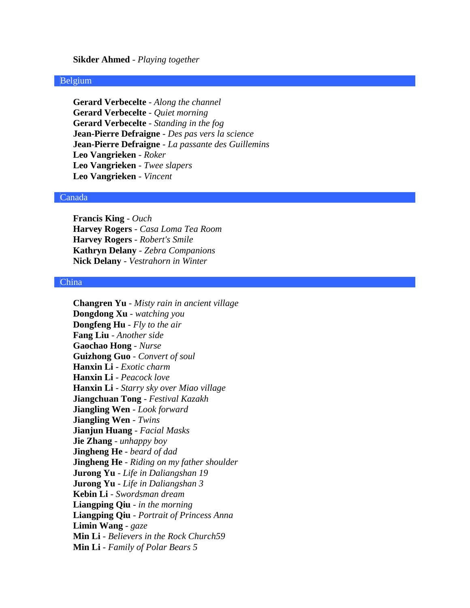#### **Sikder Ahmed** - *Playing together*

#### Belgium

**Gerard Verbecelte** - *Along the channel* **Gerard Verbecelte** - *Quiet morning* **Gerard Verbecelte** - *Standing in the fog* **Jean-Pierre Defraigne** - *Des pas vers la science* **Jean-Pierre Defraigne** - *La passante des Guillemins* **Leo Vangrieken** - *Roker* **Leo Vangrieken** - *Twee slapers* **Leo Vangrieken** - *Vincent*

## Canada

**Francis King** - *Ouch* **Harvey Rogers** - *Casa Loma Tea Room* **Harvey Rogers** - *Robert's Smile* **Kathryn Delany** - *Zebra Companions* **Nick Delany** - *Vestrahorn in Winter*

#### China

**Changren Yu** - *Misty rain in ancient village* **Dongdong Xu** - *watching you* **Dongfeng Hu** - *Fly to the air* **Fang Liu** - *Another side* **Gaochao Hong** - *Nurse* **Guizhong Guo** - *Convert of soul* **Hanxin Li** - *Exotic charm* **Hanxin Li** - *Peacock love* **Hanxin Li** - *Starry sky over Miao village* **Jiangchuan Tong** - *Festival Kazakh* **Jiangling Wen** - *Look forward* **Jiangling Wen** - *Twins* **Jianjun Huang** - *Facial Masks* **Jie Zhang** - *unhappy boy* **Jingheng He** - *beard of dad* **Jingheng He** - *Riding on my father shoulder* **Jurong Yu** - *Life in Daliangshan 19* **Jurong Yu** - *Life in Daliangshan 3* **Kebin Li** - *Swordsman dream* **Liangping Qiu** - *in the morning* **Liangping Qiu** - *Portrait of Princess Anna* **Limin Wang** - *gaze* **Min Li** - *Believers in the Rock Church59* **Min Li** - *Family of Polar Bears 5*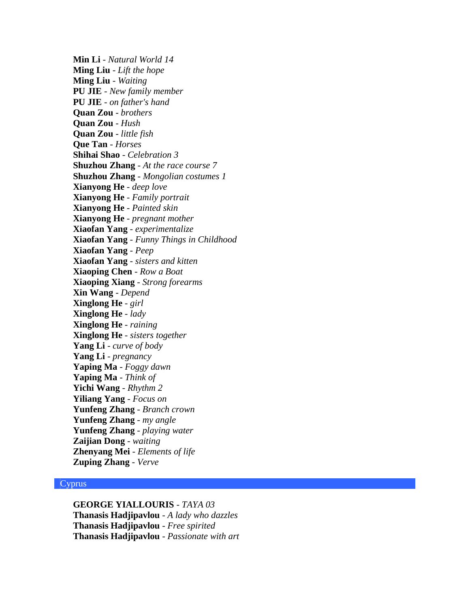**Min Li** - *Natural World 14* **Ming Liu** - *Lift the hope* **Ming Liu** - *Waiting* **PU JIE** - *New family member* **PU JIE** - *on father's hand* **Quan Zou** - *brothers* **Quan Zou** - *Hush* **Quan Zou** - *little fish* **Que Tan** - *Horses* **Shihai Shao** - *Celebration 3* **Shuzhou Zhang** - *At the race course 7* **Shuzhou Zhang** - *Mongolian costumes 1* **Xianyong He** - *deep love* **Xianyong He** - *Family portrait* **Xianyong He** - *Painted skin* **Xianyong He** - *pregnant mother* **Xiaofan Yang** - *experimentalize* **Xiaofan Yang** - *Funny Things in Childhood* **Xiaofan Yang** - *Peep* **Xiaofan Yang** - *sisters and kitten* **Xiaoping Chen** - *Row a Boat* **Xiaoping Xiang** - *Strong forearms* **Xin Wang** - *Depend* **Xinglong He** - *girl* **Xinglong He** - *lady* **Xinglong He** - *raining* **Xinglong He** - *sisters together* **Yang Li** - *curve of body* **Yang Li** - *pregnancy* **Yaping Ma** - *Foggy dawn* **Yaping Ma** - *Think of* **Yichi Wang** - *Rhythm 2* **Yiliang Yang** - *Focus on* **Yunfeng Zhang** - *Branch crown* **Yunfeng Zhang** - *my angle* **Yunfeng Zhang** - *playing water* **Zaijian Dong** - *waiting* **Zhenyang Mei** - *Elements of life* **Zuping Zhang** - *Verve*

## **Cyprus**

**GEORGE YIALLOURIS** - *TAYA 03* **Thanasis Hadjipavlou** - *A lady who dazzles* **Thanasis Hadjipavlou** - *Free spirited* **Thanasis Hadjipavlou** - *Passionate with art*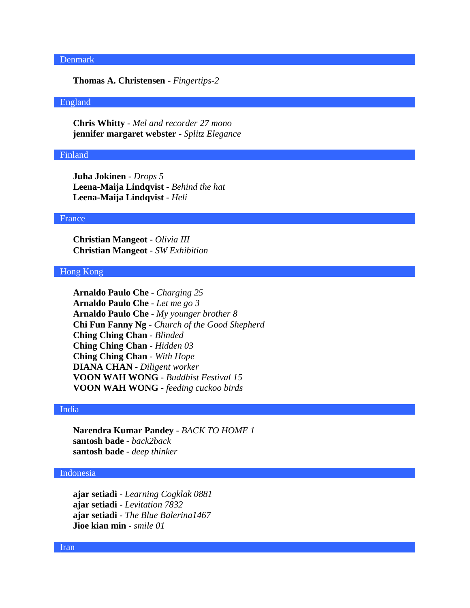# Denmark

**Thomas A. Christensen** - *Fingertips-2*

## England

**Chris Whitty** - *Mel and recorder 27 mono* **jennifer margaret webster** - *Splitz Elegance*

#### Finland

**Juha Jokinen** - *Drops 5* **Leena-Maija Lindqvist** - *Behind the hat* **Leena-Maija Lindqvist** - *Heli*

#### France

**Christian Mangeot** - *Olivia III* **Christian Mangeot** - *SW Exhibition*

# Hong Kong

**Arnaldo Paulo Che** - *Charging 25* **Arnaldo Paulo Che** - *Let me go 3* **Arnaldo Paulo Che** - *My younger brother 8* **Chi Fun Fanny Ng** - *Church of the Good Shepherd* **Ching Ching Chan** - *Blinded* **Ching Ching Chan** - *Hidden 03* **Ching Ching Chan** - *With Hope* **DIANA CHAN** - *Diligent worker* **VOON WAH WONG** - *Buddhist Festival 15* **VOON WAH WONG** - *feeding cuckoo birds*

## India

**Narendra Kumar Pandey** - *BACK TO HOME 1* **santosh bade** - *back2back* **santosh bade** - *deep thinker*

## Indonesia

**ajar setiadi** - *Learning Cogklak 0881* **ajar setiadi** - *Levitation 7832* **ajar setiadi** - *The Blue Balerina1467* **Jioe kian min** - *smile 01*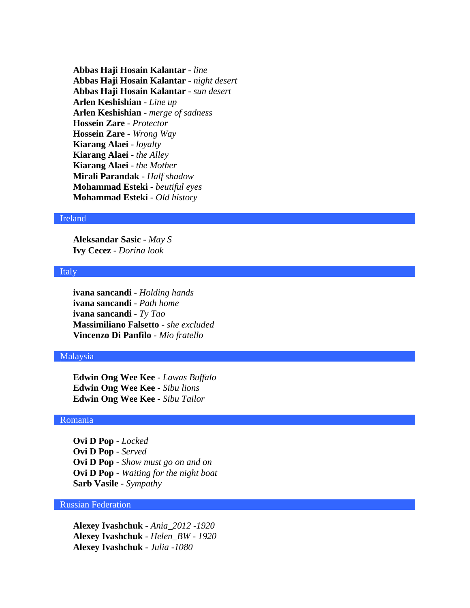**Abbas Haji Hosain Kalantar** - *line* **Abbas Haji Hosain Kalantar** - *night desert* **Abbas Haji Hosain Kalantar** - *sun desert* **Arlen Keshishian** - *Line up* **Arlen Keshishian** - *merge of sadness* **Hossein Zare** - *Protector* **Hossein Zare** - *Wrong Way* **Kiarang Alaei** - *loyalty* **Kiarang Alaei** - *the Alley* **Kiarang Alaei** - *the Mother* **Mirali Parandak** - *Half shadow* **Mohammad Esteki** - *beutiful eyes* **Mohammad Esteki** - *Old history*

#### Ireland

**Aleksandar Sasic** - *May S* **Ivy Cecez** - *Dorina look*

#### Italy

**ivana sancandi** - *Holding hands* **ivana sancandi** - *Path home* **ivana sancandi** - *Ty Tao* **Massimiliano Falsetto** - *she excluded* **Vincenzo Di Panfilo** - *Mio fratello*

#### Malaysia

**Edwin Ong Wee Kee** - *Lawas Buffalo* **Edwin Ong Wee Kee** - *Sibu lions* **Edwin Ong Wee Kee** - *Sibu Tailor*

#### Romania

**Ovi D Pop** - *Locked* **Ovi D Pop** - *Served* **Ovi D Pop** - *Show must go on and on* **Ovi D Pop** - *Waiting for the night boat* **Sarb Vasile** - *Sympathy*

## Russian Federation

**Alexey Ivashchuk** - *Ania\_2012 -1920* **Alexey Ivashchuk** - *Helen\_BW - 1920* **Alexey Ivashchuk** - *Julia -1080*